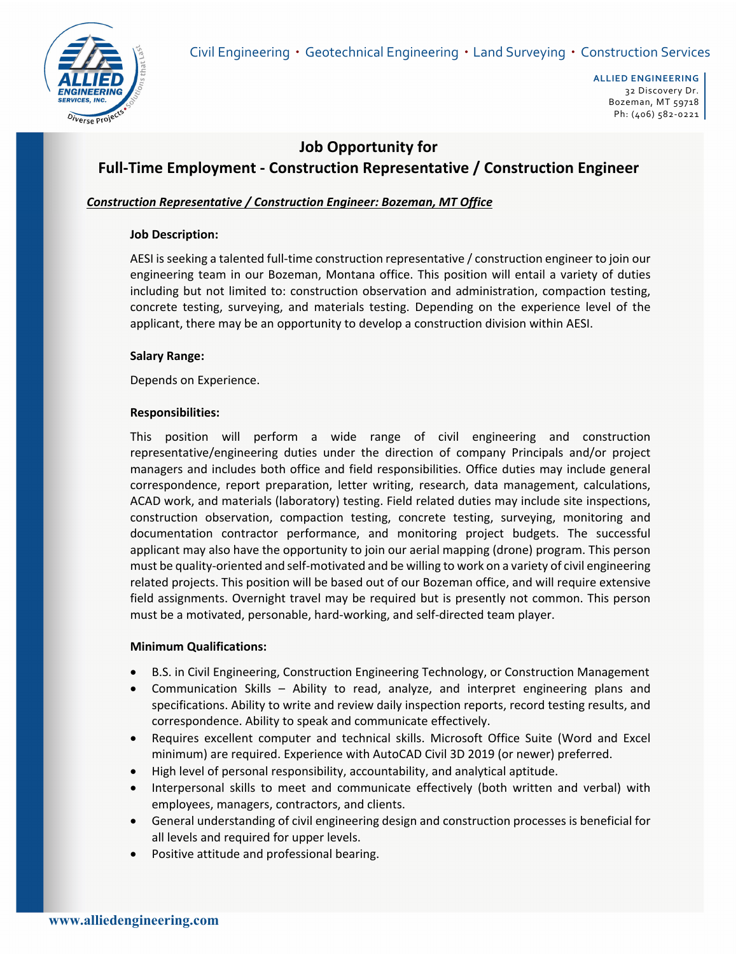

# **Job Opportunity for Full‐Time Employment ‐ Construction Representative / Construction Engineer**

## *Construction Representative / Construction Engineer: Bozeman, MT Office*

## **Job Description:**

AESI is seeking a talented full-time construction representative / construction engineer to join our engineering team in our Bozeman, Montana office. This position will entail a variety of duties including but not limited to: construction observation and administration, compaction testing, concrete testing, surveying, and materials testing. Depending on the experience level of the applicant, there may be an opportunity to develop a construction division within AESI.

## **Salary Range:**

Depends on Experience.

#### **Responsibilities:**

This position will perform a wide range of civil engineering and construction representative/engineering duties under the direction of company Principals and/or project managers and includes both office and field responsibilities. Office duties may include general correspondence, report preparation, letter writing, research, data management, calculations, ACAD work, and materials (laboratory) testing. Field related duties may include site inspections, construction observation, compaction testing, concrete testing, surveying, monitoring and documentation contractor performance, and monitoring project budgets. The successful applicant may also have the opportunity to join our aerial mapping (drone) program. This person must be quality‐oriented and self‐motivated and be willing to work on a variety of civil engineering related projects. This position will be based out of our Bozeman office, and will require extensive field assignments. Overnight travel may be required but is presently not common. This person must be a motivated, personable, hard‐working, and self‐directed team player.

#### **Minimum Qualifications:**

- B.S. in Civil Engineering, Construction Engineering Technology, or Construction Management
- Communication Skills Ability to read, analyze, and interpret engineering plans and specifications. Ability to write and review daily inspection reports, record testing results, and correspondence. Ability to speak and communicate effectively.
- Requires excellent computer and technical skills. Microsoft Office Suite (Word and Excel minimum) are required. Experience with AutoCAD Civil 3D 2019 (or newer) preferred.
- High level of personal responsibility, accountability, and analytical aptitude.
- Interpersonal skills to meet and communicate effectively (both written and verbal) with employees, managers, contractors, and clients.
- General understanding of civil engineering design and construction processes is beneficial for all levels and required for upper levels.
- Positive attitude and professional bearing.